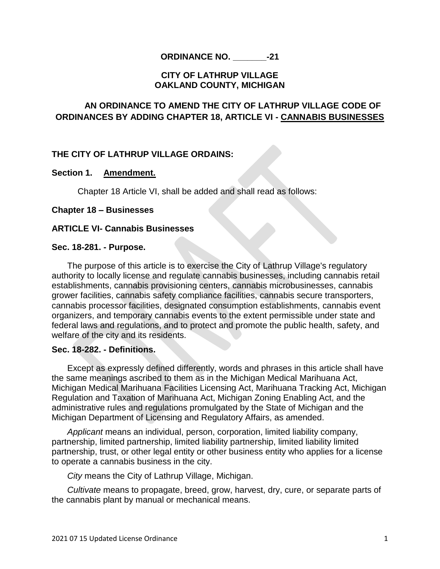# **CITY OF LATHRUP VILLAGE OAKLAND COUNTY, MICHIGAN**

# **AN ORDINANCE TO AMEND THE CITY OF LATHRUP VILLAGE CODE OF ORDINANCES BY ADDING CHAPTER 18, ARTICLE VI - CANNABIS BUSINESSES**

# **THE CITY OF LATHRUP VILLAGE ORDAINS:**

## **Section 1. Amendment.**

Chapter 18 Article VI, shall be added and shall read as follows:

## **Chapter 18 – Businesses**

# **ARTICLE VI- Cannabis Businesses**

## **Sec. 18-281. - Purpose.**

The purpose of this article is to exercise the City of Lathrup Village's regulatory authority to locally license and regulate cannabis businesses, including cannabis retail establishments, cannabis provisioning centers, cannabis microbusinesses, cannabis grower facilities, cannabis safety compliance facilities, cannabis secure transporters, cannabis processor facilities, designated consumption establishments, cannabis event organizers, and temporary cannabis events to the extent permissible under state and federal laws and regulations, and to protect and promote the public health, safety, and welfare of the city and its residents.

## **Sec. 18-282. - Definitions.**

Except as expressly defined differently, words and phrases in this article shall have the same meanings ascribed to them as in the Michigan Medical Marihuana Act, Michigan Medical Marihuana Facilities Licensing Act, Marihuana Tracking Act, Michigan Regulation and Taxation of Marihuana Act, Michigan Zoning Enabling Act, and the administrative rules and regulations promulgated by the State of Michigan and the Michigan Department of Licensing and Regulatory Affairs, as amended.

*Applicant* means an individual, person, corporation, limited liability company, partnership, limited partnership, limited liability partnership, limited liability limited partnership, trust, or other legal entity or other business entity who applies for a license to operate a cannabis business in the city.

*City* means the City of Lathrup Village, Michigan.

*Cultivate* means to propagate, breed, grow, harvest, dry, cure, or separate parts of the cannabis plant by manual or mechanical means.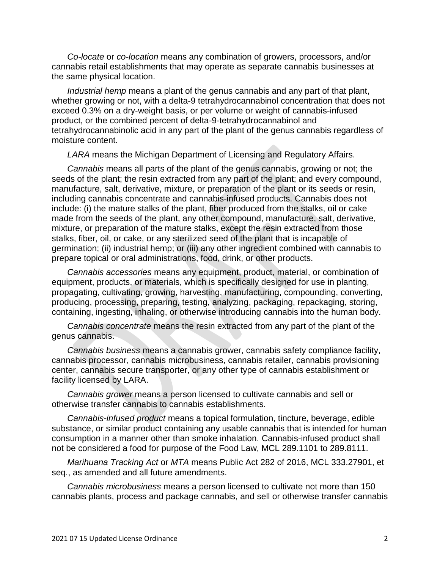*Co-locate* or *co-location* means any combination of growers, processors, and/or cannabis retail establishments that may operate as separate cannabis businesses at the same physical location.

*Industrial hemp* means a plant of the genus cannabis and any part of that plant, whether growing or not, with a delta-9 tetrahydrocannabinol concentration that does not exceed 0.3% on a dry-weight basis, or per volume or weight of cannabis-infused product, or the combined percent of delta-9-tetrahydrocannabinol and tetrahydrocannabinolic acid in any part of the plant of the genus cannabis regardless of moisture content.

*LARA* means the Michigan Department of Licensing and Regulatory Affairs.

*Cannabis* means all parts of the plant of the genus cannabis, growing or not; the seeds of the plant; the resin extracted from any part of the plant; and every compound, manufacture, salt, derivative, mixture, or preparation of the plant or its seeds or resin, including cannabis concentrate and cannabis-infused products. Cannabis does not include: (i) the mature stalks of the plant, fiber produced from the stalks, oil or cake made from the seeds of the plant, any other compound, manufacture, salt, derivative, mixture, or preparation of the mature stalks, except the resin extracted from those stalks, fiber, oil, or cake, or any sterilized seed of the plant that is incapable of germination; (ii) industrial hemp; or (iii) any other ingredient combined with cannabis to prepare topical or oral administrations, food, drink, or other products.

*Cannabis accessories* means any equipment, product, material, or combination of equipment, products, or materials, which is specifically designed for use in planting, propagating, cultivating, growing, harvesting, manufacturing, compounding, converting, producing, processing, preparing, testing, analyzing, packaging, repackaging, storing, containing, ingesting, inhaling, or otherwise introducing cannabis into the human body.

*Cannabis concentrate* means the resin extracted from any part of the plant of the genus cannabis.

*Cannabis business* means a cannabis grower, cannabis safety compliance facility, cannabis processor, cannabis microbusiness, cannabis retailer, cannabis provisioning center, cannabis secure transporter, or any other type of cannabis establishment or facility licensed by LARA.

*Cannabis grower* means a person licensed to cultivate cannabis and sell or otherwise transfer cannabis to cannabis establishments.

*Cannabis-infused product* means a topical formulation, tincture, beverage, edible substance, or similar product containing any usable cannabis that is intended for human consumption in a manner other than smoke inhalation. Cannabis-infused product shall not be considered a food for purpose of the Food Law, MCL 289.1101 to 289.8111.

*Marihuana Tracking Act* or *MTA* means Public Act 282 of 2016, MCL 333.27901, et seq., as amended and all future amendments.

*Cannabis microbusiness* means a person licensed to cultivate not more than 150 cannabis plants, process and package cannabis, and sell or otherwise transfer cannabis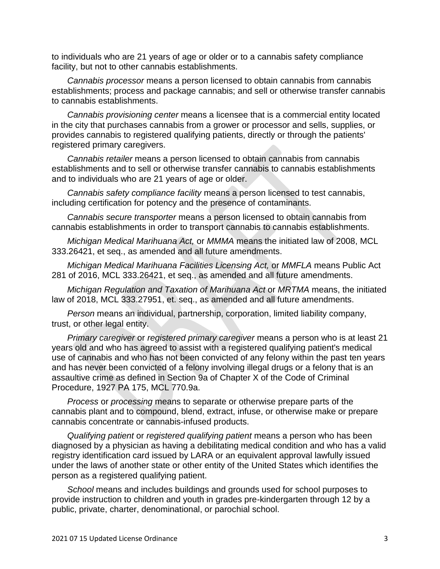to individuals who are 21 years of age or older or to a cannabis safety compliance facility, but not to other cannabis establishments.

*Cannabis processor* means a person licensed to obtain cannabis from cannabis establishments; process and package cannabis; and sell or otherwise transfer cannabis to cannabis establishments.

*Cannabis provisioning center* means a licensee that is a commercial entity located in the city that purchases cannabis from a grower or processor and sells, supplies, or provides cannabis to registered qualifying patients, directly or through the patients' registered primary caregivers.

*Cannabis retailer* means a person licensed to obtain cannabis from cannabis establishments and to sell or otherwise transfer cannabis to cannabis establishments and to individuals who are 21 years of age or older.

*Cannabis safety compliance facility* means a person licensed to test cannabis, including certification for potency and the presence of contaminants.

*Cannabis secure transporter* means a person licensed to obtain cannabis from cannabis establishments in order to transport cannabis to cannabis establishments.

*Michigan Medical Marihuana Act,* or *MMMA* means the initiated law of 2008, MCL 333.26421, et seq., as amended and all future amendments.

*Michigan Medical Marihuana Facilities Licensing Act,* or *MMFLA* means Public Act 281 of 2016, MCL 333.26421, et seq., as amended and all future amendments.

*Michigan Regulation and Taxation of Marihuana Act* or *MRTMA* means, the initiated law of 2018, MCL 333.27951, et. seq., as amended and all future amendments.

*Person* means an individual, partnership, corporation, limited liability company, trust, or other legal entity.

*Primary caregiver* or *registered primary caregiver* means a person who is at least 21 years old and who has agreed to assist with a registered qualifying patient's medical use of cannabis and who has not been convicted of any felony within the past ten years and has never been convicted of a felony involving illegal drugs or a felony that is an assaultive crime as defined in Section 9a of Chapter X of the Code of Criminal Procedure, 1927 PA 175, MCL 770.9a.

*Process* or *processing* means to separate or otherwise prepare parts of the cannabis plant and to compound, blend, extract, infuse, or otherwise make or prepare cannabis concentrate or cannabis-infused products.

*Qualifying patient* or *registered qualifying patient* means a person who has been diagnosed by a physician as having a debilitating medical condition and who has a valid registry identification card issued by LARA or an equivalent approval lawfully issued under the laws of another state or other entity of the United States which identifies the person as a registered qualifying patient.

*School* means and includes buildings and grounds used for school purposes to provide instruction to children and youth in grades pre-kindergarten through 12 by a public, private, charter, denominational, or parochial school.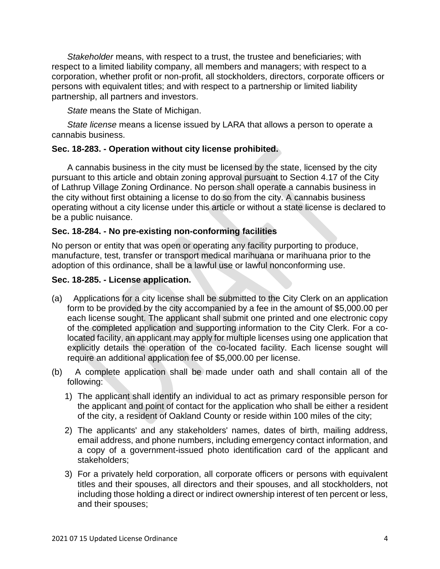*Stakeholder* means, with respect to a trust, the trustee and beneficiaries; with respect to a limited liability company, all members and managers; with respect to a corporation, whether profit or non-profit, all stockholders, directors, corporate officers or persons with equivalent titles; and with respect to a partnership or limited liability partnership, all partners and investors.

*State* means the State of Michigan.

*State license* means a license issued by LARA that allows a person to operate a cannabis business.

# **Sec. 18-283. - Operation without city license prohibited.**

A cannabis business in the city must be licensed by the state, licensed by the city pursuant to this article and obtain zoning approval pursuant to Section 4.17 of the City of Lathrup Village Zoning Ordinance. No person shall operate a cannabis business in the city without first obtaining a license to do so from the city. A cannabis business operating without a city license under this article or without a state license is declared to be a public nuisance.

# **Sec. 18-284. - No pre-existing non-conforming facilities**

No person or entity that was open or operating any facility purporting to produce, manufacture, test, transfer or transport medical marihuana or marihuana prior to the adoption of this ordinance, shall be a lawful use or lawful nonconforming use.

## **Sec. 18-285. - License application.**

- (a) Applications for a city license shall be submitted to the City Clerk on an application form to be provided by the city accompanied by a fee in the amount of \$5,000.00 per each license sought. The applicant shall submit one printed and one electronic copy of the completed application and supporting information to the City Clerk. For a colocated facility, an applicant may apply for multiple licenses using one application that explicitly details the operation of the co-located facility. Each license sought will require an additional application fee of \$5,000.00 per license.
- (b) A complete application shall be made under oath and shall contain all of the following:
	- 1) The applicant shall identify an individual to act as primary responsible person for the applicant and point of contact for the application who shall be either a resident of the city, a resident of Oakland County or reside within 100 miles of the city;
	- 2) The applicants' and any stakeholders' names, dates of birth, mailing address, email address, and phone numbers, including emergency contact information, and a copy of a government-issued photo identification card of the applicant and stakeholders;
	- 3) For a privately held corporation, all corporate officers or persons with equivalent titles and their spouses, all directors and their spouses, and all stockholders, not including those holding a direct or indirect ownership interest of ten percent or less, and their spouses;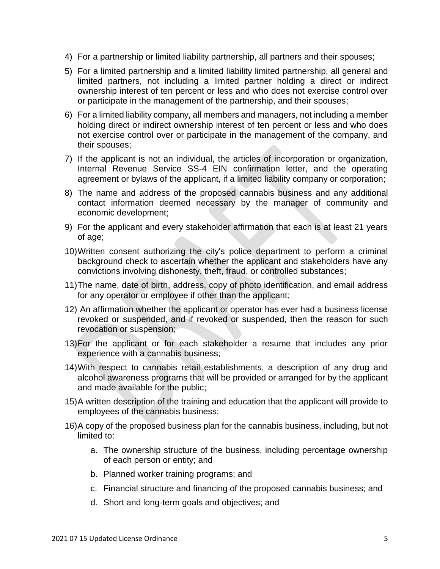- 4) For a partnership or limited liability partnership, all partners and their spouses;
- 5) For a limited partnership and a limited liability limited partnership, all general and limited partners, not including a limited partner holding a direct or indirect ownership interest of ten percent or less and who does not exercise control over or participate in the management of the partnership, and their spouses;
- 6) For a limited liability company, all members and managers, not including a member holding direct or indirect ownership interest of ten percent or less and who does not exercise control over or participate in the management of the company, and their spouses;
- 7) If the applicant is not an individual, the articles of incorporation or organization, Internal Revenue Service SS-4 EIN confirmation letter, and the operating agreement or bylaws of the applicant, if a limited liability company or corporation;
- 8) The name and address of the proposed cannabis business and any additional contact information deemed necessary by the manager of community and economic development;
- 9) For the applicant and every stakeholder affirmation that each is at least 21 years of age;
- 10)Written consent authorizing the city's police department to perform a criminal background check to ascertain whether the applicant and stakeholders have any convictions involving dishonesty, theft, fraud, or controlled substances;
- 11)The name, date of birth, address, copy of photo identification, and email address for any operator or employee if other than the applicant;
- 12) An affirmation whether the applicant or operator has ever had a business license revoked or suspended, and if revoked or suspended, then the reason for such revocation or suspension;
- 13)For the applicant or for each stakeholder a resume that includes any prior experience with a cannabis business;
- 14)With respect to cannabis retail establishments, a description of any drug and alcohol awareness programs that will be provided or arranged for by the applicant and made available for the public;
- 15)A written description of the training and education that the applicant will provide to employees of the cannabis business;
- 16)A copy of the proposed business plan for the cannabis business, including, but not limited to:
	- a. The ownership structure of the business, including percentage ownership of each person or entity; and
	- b. Planned worker training programs; and
	- c. Financial structure and financing of the proposed cannabis business; and
	- d. Short and long-term goals and objectives; and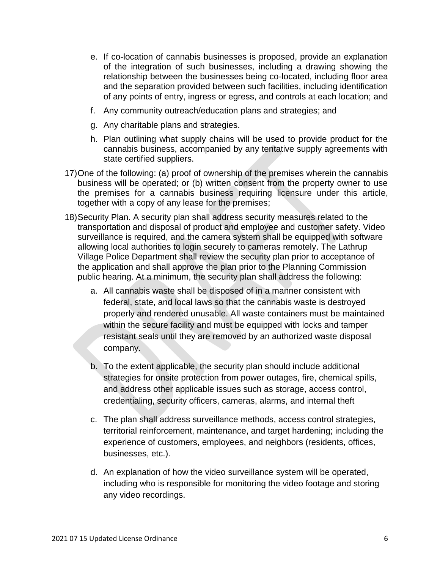- e. If co-location of cannabis businesses is proposed, provide an explanation of the integration of such businesses, including a drawing showing the relationship between the businesses being co-located, including floor area and the separation provided between such facilities, including identification of any points of entry, ingress or egress, and controls at each location; and
- f. Any community outreach/education plans and strategies; and
- g. Any charitable plans and strategies.
- h. Plan outlining what supply chains will be used to provide product for the cannabis business, accompanied by any tentative supply agreements with state certified suppliers.
- 17)One of the following: (a) proof of ownership of the premises wherein the cannabis business will be operated; or (b) written consent from the property owner to use the premises for a cannabis business requiring licensure under this article, together with a copy of any lease for the premises;
- 18)Security Plan. A security plan shall address security measures related to the transportation and disposal of product and employee and customer safety. Video surveillance is required, and the camera system shall be equipped with software allowing local authorities to login securely to cameras remotely. The Lathrup Village Police Department shall review the security plan prior to acceptance of the application and shall approve the plan prior to the Planning Commission public hearing. At a minimum, the security plan shall address the following:
	- a. All cannabis waste shall be disposed of in a manner consistent with federal, state, and local laws so that the cannabis waste is destroyed properly and rendered unusable. All waste containers must be maintained within the secure facility and must be equipped with locks and tamper resistant seals until they are removed by an authorized waste disposal company.
	- b. To the extent applicable, the security plan should include additional strategies for onsite protection from power outages, fire, chemical spills, and address other applicable issues such as storage, access control, credentialing, security officers, cameras, alarms, and internal theft
	- c. The plan shall address surveillance methods, access control strategies, territorial reinforcement, maintenance, and target hardening; including the experience of customers, employees, and neighbors (residents, offices, businesses, etc.).
	- d. An explanation of how the video surveillance system will be operated, including who is responsible for monitoring the video footage and storing any video recordings.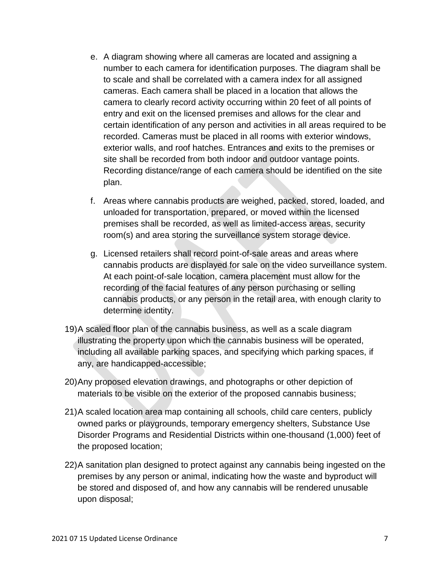- e. A diagram showing where all cameras are located and assigning a number to each camera for identification purposes. The diagram shall be to scale and shall be correlated with a camera index for all assigned cameras. Each camera shall be placed in a location that allows the camera to clearly record activity occurring within 20 feet of all points of entry and exit on the licensed premises and allows for the clear and certain identification of any person and activities in all areas required to be recorded. Cameras must be placed in all rooms with exterior windows, exterior walls, and roof hatches. Entrances and exits to the premises or site shall be recorded from both indoor and outdoor vantage points. Recording distance/range of each camera should be identified on the site plan.
- f. Areas where cannabis products are weighed, packed, stored, loaded, and unloaded for transportation, prepared, or moved within the licensed premises shall be recorded, as well as limited-access areas, security room(s) and area storing the surveillance system storage device.
- g. Licensed retailers shall record point-of-sale areas and areas where cannabis products are displayed for sale on the video surveillance system. At each point-of-sale location, camera placement must allow for the recording of the facial features of any person purchasing or selling cannabis products, or any person in the retail area, with enough clarity to determine identity.
- 19)A scaled floor plan of the cannabis business, as well as a scale diagram illustrating the property upon which the cannabis business will be operated, including all available parking spaces, and specifying which parking spaces, if any, are handicapped-accessible;
- 20)Any proposed elevation drawings, and photographs or other depiction of materials to be visible on the exterior of the proposed cannabis business;
- 21)A scaled location area map containing all schools, child care centers, publicly owned parks or playgrounds, temporary emergency shelters, Substance Use Disorder Programs and Residential Districts within one-thousand (1,000) feet of the proposed location;
- 22)A sanitation plan designed to protect against any cannabis being ingested on the premises by any person or animal, indicating how the waste and byproduct will be stored and disposed of, and how any cannabis will be rendered unusable upon disposal;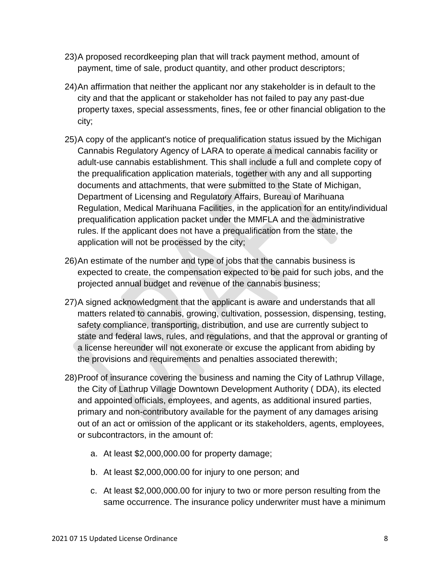- 23)A proposed recordkeeping plan that will track payment method, amount of payment, time of sale, product quantity, and other product descriptors;
- 24)An affirmation that neither the applicant nor any stakeholder is in default to the city and that the applicant or stakeholder has not failed to pay any past-due property taxes, special assessments, fines, fee or other financial obligation to the city;
- 25)A copy of the applicant's notice of prequalification status issued by the Michigan Cannabis Regulatory Agency of LARA to operate a medical cannabis facility or adult-use cannabis establishment. This shall include a full and complete copy of the prequalification application materials, together with any and all supporting documents and attachments, that were submitted to the State of Michigan, Department of Licensing and Regulatory Affairs, Bureau of Marihuana Regulation, Medical Marihuana Facilities, in the application for an entity/individual prequalification application packet under the MMFLA and the administrative rules. If the applicant does not have a prequalification from the state, the application will not be processed by the city;
- 26)An estimate of the number and type of jobs that the cannabis business is expected to create, the compensation expected to be paid for such jobs, and the projected annual budget and revenue of the cannabis business;
- 27)A signed acknowledgment that the applicant is aware and understands that all matters related to cannabis, growing, cultivation, possession, dispensing, testing, safety compliance, transporting, distribution, and use are currently subject to state and federal laws, rules, and regulations, and that the approval or granting of a license hereunder will not exonerate or excuse the applicant from abiding by the provisions and requirements and penalties associated therewith;
- 28)Proof of insurance covering the business and naming the City of Lathrup Village, the City of Lathrup Village Downtown Development Authority ( DDA), its elected and appointed officials, employees, and agents, as additional insured parties, primary and non-contributory available for the payment of any damages arising out of an act or omission of the applicant or its stakeholders, agents, employees, or subcontractors, in the amount of:
	- a. At least \$2,000,000.00 for property damage;
	- b. At least \$2,000,000.00 for injury to one person; and
	- c. At least \$2,000,000.00 for injury to two or more person resulting from the same occurrence. The insurance policy underwriter must have a minimum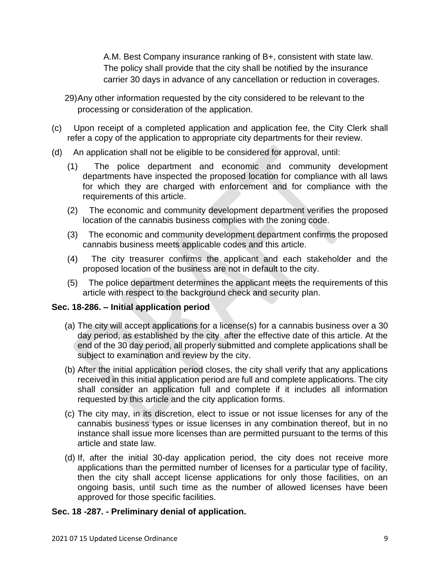A.M. Best Company insurance ranking of B+, consistent with state law. The policy shall provide that the city shall be notified by the insurance carrier 30 days in advance of any cancellation or reduction in coverages.

- 29)Any other information requested by the city considered to be relevant to the processing or consideration of the application.
- (c) Upon receipt of a completed application and application fee, the City Clerk shall refer a copy of the application to appropriate city departments for their review.
- (d) An application shall not be eligible to be considered for approval, until:
	- (1) The police department and economic and community development departments have inspected the proposed location for compliance with all laws for which they are charged with enforcement and for compliance with the requirements of this article.
	- (2) The economic and community development department verifies the proposed location of the cannabis business complies with the zoning code.
	- (3) The economic and community development department confirms the proposed cannabis business meets applicable codes and this article.
	- (4) The city treasurer confirms the applicant and each stakeholder and the proposed location of the business are not in default to the city.
	- (5) The police department determines the applicant meets the requirements of this article with respect to the background check and security plan.

# **Sec. 18-286. – Initial application period**

- (a) The city will accept applications for a license(s) for a cannabis business over a 30 day period, as established by the city after the effective date of this article. At the end of the 30 day period, all properly submitted and complete applications shall be subject to examination and review by the city.
- (b) After the initial application period closes, the city shall verify that any applications received in this initial application period are full and complete applications. The city shall consider an application full and complete if it includes all information requested by this article and the city application forms.
- (c) The city may, in its discretion, elect to issue or not issue licenses for any of the cannabis business types or issue licenses in any combination thereof, but in no instance shall issue more licenses than are permitted pursuant to the terms of this article and state law.
- (d) If, after the initial 30-day application period, the city does not receive more applications than the permitted number of licenses for a particular type of facility, then the city shall accept license applications for only those facilities, on an ongoing basis, until such time as the number of allowed licenses have been approved for those specific facilities.

# **Sec. 18 -287. - Preliminary denial of application.**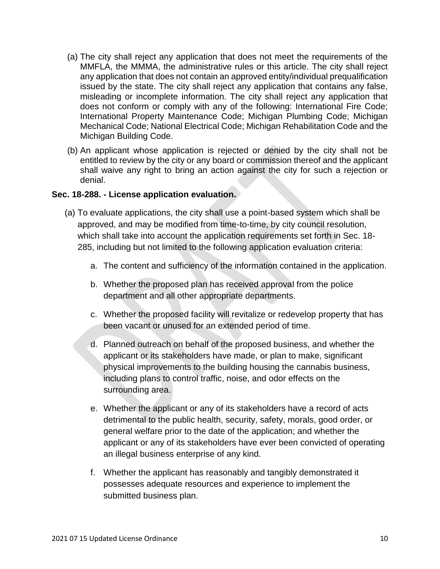- (a) The city shall reject any application that does not meet the requirements of the MMFLA, the MMMA, the administrative rules or this article. The city shall reject any application that does not contain an approved entity/individual prequalification issued by the state. The city shall reject any application that contains any false, misleading or incomplete information. The city shall reject any application that does not conform or comply with any of the following: International Fire Code; International Property Maintenance Code; Michigan Plumbing Code; Michigan Mechanical Code; National Electrical Code; Michigan Rehabilitation Code and the Michigan Building Code.
- (b) An applicant whose application is rejected or denied by the city shall not be entitled to review by the city or any board or commission thereof and the applicant shall waive any right to bring an action against the city for such a rejection or denial.

## **Sec. 18-288. - License application evaluation.**

- (a) To evaluate applications, the city shall use a point-based system which shall be approved, and may be modified from time-to-time, by city council resolution, which shall take into account the application requirements set forth in Sec. 18- 285, including but not limited to the following application evaluation criteria:
	- a. The content and sufficiency of the information contained in the application.
	- b. Whether the proposed plan has received approval from the police department and all other appropriate departments.
	- c. Whether the proposed facility will revitalize or redevelop property that has been vacant or unused for an extended period of time.
	- d. Planned outreach on behalf of the proposed business, and whether the applicant or its stakeholders have made, or plan to make, significant physical improvements to the building housing the cannabis business, including plans to control traffic, noise, and odor effects on the surrounding area.
	- e. Whether the applicant or any of its stakeholders have a record of acts detrimental to the public health, security, safety, morals, good order, or general welfare prior to the date of the application; and whether the applicant or any of its stakeholders have ever been convicted of operating an illegal business enterprise of any kind.
	- f. Whether the applicant has reasonably and tangibly demonstrated it possesses adequate resources and experience to implement the submitted business plan.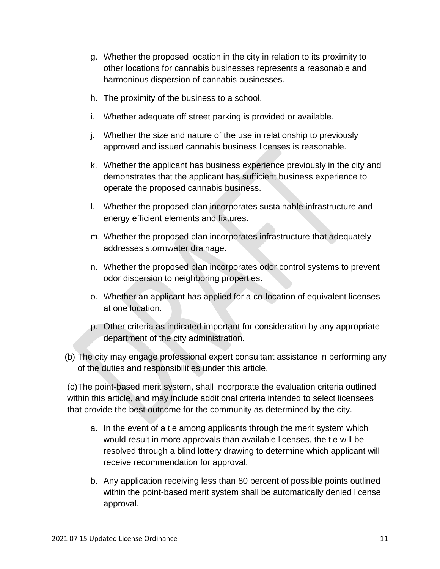- g. Whether the proposed location in the city in relation to its proximity to other locations for cannabis businesses represents a reasonable and harmonious dispersion of cannabis businesses.
- h. The proximity of the business to a school.
- i. Whether adequate off street parking is provided or available.
- j. Whether the size and nature of the use in relationship to previously approved and issued cannabis business licenses is reasonable.
- k. Whether the applicant has business experience previously in the city and demonstrates that the applicant has sufficient business experience to operate the proposed cannabis business.
- l. Whether the proposed plan incorporates sustainable infrastructure and energy efficient elements and fixtures.
- m. Whether the proposed plan incorporates infrastructure that adequately addresses stormwater drainage.
- n. Whether the proposed plan incorporates odor control systems to prevent odor dispersion to neighboring properties.
- o. Whether an applicant has applied for a co-location of equivalent licenses at one location.
- p. Other criteria as indicated important for consideration by any appropriate department of the city administration.
- (b) The city may engage professional expert consultant assistance in performing any of the duties and responsibilities under this article.

(c)The point-based merit system, shall incorporate the evaluation criteria outlined within this article, and may include additional criteria intended to select licensees that provide the best outcome for the community as determined by the city.

- a. In the event of a tie among applicants through the merit system which would result in more approvals than available licenses, the tie will be resolved through a blind lottery drawing to determine which applicant will receive recommendation for approval.
- b. Any application receiving less than 80 percent of possible points outlined within the point-based merit system shall be automatically denied license approval.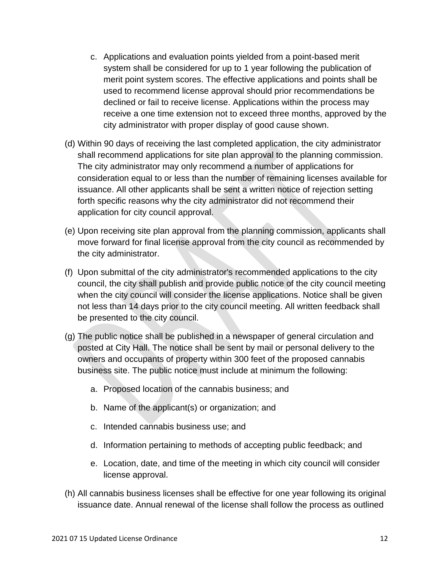- c. Applications and evaluation points yielded from a point-based merit system shall be considered for up to 1 year following the publication of merit point system scores. The effective applications and points shall be used to recommend license approval should prior recommendations be declined or fail to receive license. Applications within the process may receive a one time extension not to exceed three months, approved by the city administrator with proper display of good cause shown.
- (d) Within 90 days of receiving the last completed application, the city administrator shall recommend applications for site plan approval to the planning commission. The city administrator may only recommend a number of applications for consideration equal to or less than the number of remaining licenses available for issuance. All other applicants shall be sent a written notice of rejection setting forth specific reasons why the city administrator did not recommend their application for city council approval.
- (e) Upon receiving site plan approval from the planning commission, applicants shall move forward for final license approval from the city council as recommended by the city administrator.
- (f) Upon submittal of the city administrator's recommended applications to the city council, the city shall publish and provide public notice of the city council meeting when the city council will consider the license applications. Notice shall be given not less than 14 days prior to the city council meeting. All written feedback shall be presented to the city council.
- (g) The public notice shall be published in a newspaper of general circulation and posted at City Hall. The notice shall be sent by mail or personal delivery to the owners and occupants of property within 300 feet of the proposed cannabis business site. The public notice must include at minimum the following:
	- a. Proposed location of the cannabis business; and
	- b. Name of the applicant(s) or organization; and
	- c. Intended cannabis business use; and
	- d. Information pertaining to methods of accepting public feedback; and
	- e. Location, date, and time of the meeting in which city council will consider license approval.
- (h) All cannabis business licenses shall be effective for one year following its original issuance date. Annual renewal of the license shall follow the process as outlined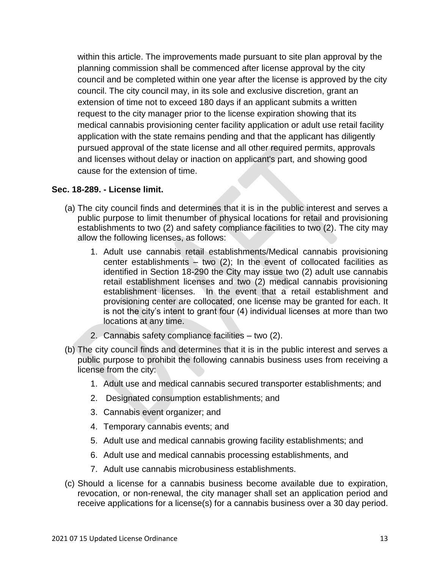within this article. The improvements made pursuant to site plan approval by the planning commission shall be commenced after license approval by the city council and be completed within one year after the license is approved by the city council. The city council may, in its sole and exclusive discretion, grant an extension of time not to exceed 180 days if an applicant submits a written request to the city manager prior to the license expiration showing that its medical cannabis provisioning center facility application or adult use retail facility application with the state remains pending and that the applicant has diligently pursued approval of the state license and all other required permits, approvals and licenses without delay or inaction on applicant's part, and showing good cause for the extension of time.

#### **Sec. 18-289. - License limit.**

- (a) The city council finds and determines that it is in the public interest and serves a public purpose to limit thenumber of physical locations for retail and provisioning establishments to two (2) and safety compliance facilities to two (2). The city may allow the following licenses, as follows:
	- 1. Adult use cannabis retail establishments/Medical cannabis provisioning center establishments – two  $(2)$ ; In the event of collocated facilities as identified in Section 18-290 the City may issue two (2) adult use cannabis retail establishment licenses and two (2) medical cannabis provisioning establishment licenses. In the event that a retail establishment and provisioning center are collocated, one license may be granted for each. It is not the city's intent to grant four (4) individual licenses at more than two locations at any time.
	- 2. Cannabis safety compliance facilities two (2).
- (b) The city council finds and determines that it is in the public interest and serves a public purpose to prohibit the following cannabis business uses from receiving a license from the city:
	- 1. Adult use and medical cannabis secured transporter establishments; and
	- 2. Designated consumption establishments; and
	- 3. Cannabis event organizer; and
	- 4. Temporary cannabis events; and
	- 5. Adult use and medical cannabis growing facility establishments; and
	- 6. Adult use and medical cannabis processing establishments, and
	- 7. Adult use cannabis microbusiness establishments.
- (c) Should a license for a cannabis business become available due to expiration, revocation, or non-renewal, the city manager shall set an application period and receive applications for a license(s) for a cannabis business over a 30 day period.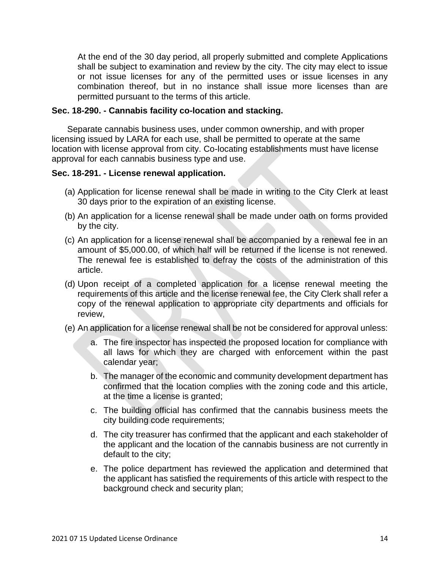At the end of the 30 day period, all properly submitted and complete Applications shall be subject to examination and review by the city. The city may elect to issue or not issue licenses for any of the permitted uses or issue licenses in any combination thereof, but in no instance shall issue more licenses than are permitted pursuant to the terms of this article.

#### **Sec. 18-290. - Cannabis facility co-location and stacking.**

Separate cannabis business uses, under common ownership, and with proper licensing issued by LARA for each use, shall be permitted to operate at the same location with license approval from city. Co-locating establishments must have license approval for each cannabis business type and use.

## **Sec. 18-291. - License renewal application.**

- (a) Application for license renewal shall be made in writing to the City Clerk at least 30 days prior to the expiration of an existing license.
- (b) An application for a license renewal shall be made under oath on forms provided by the city.
- (c) An application for a license renewal shall be accompanied by a renewal fee in an amount of \$5,000.00, of which half will be returned if the license is not renewed. The renewal fee is established to defray the costs of the administration of this article.
- (d) Upon receipt of a completed application for a license renewal meeting the requirements of this article and the license renewal fee, the City Clerk shall refer a copy of the renewal application to appropriate city departments and officials for review,
- (e) An application for a license renewal shall be not be considered for approval unless:
	- a. The fire inspector has inspected the proposed location for compliance with all laws for which they are charged with enforcement within the past calendar year;
	- b. The manager of the economic and community development department has confirmed that the location complies with the zoning code and this article, at the time a license is granted;
	- c. The building official has confirmed that the cannabis business meets the city building code requirements;
	- d. The city treasurer has confirmed that the applicant and each stakeholder of the applicant and the location of the cannabis business are not currently in default to the city;
	- e. The police department has reviewed the application and determined that the applicant has satisfied the requirements of this article with respect to the background check and security plan;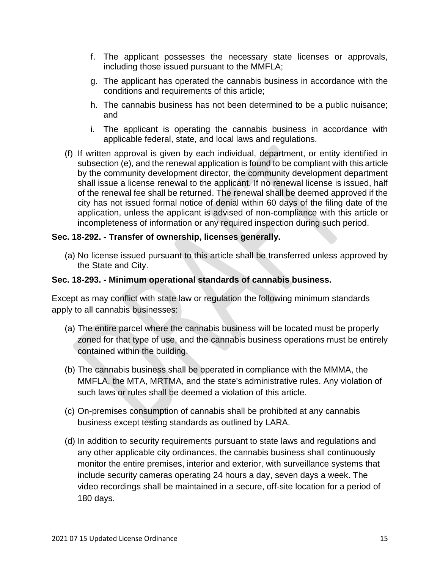- f. The applicant possesses the necessary state licenses or approvals, including those issued pursuant to the MMFLA;
- g. The applicant has operated the cannabis business in accordance with the conditions and requirements of this article;
- h. The cannabis business has not been determined to be a public nuisance; and
- i. The applicant is operating the cannabis business in accordance with applicable federal, state, and local laws and regulations.
- (f) If written approval is given by each individual, department, or entity identified in subsection (e), and the renewal application is found to be compliant with this article by the community development director, the community development department shall issue a license renewal to the applicant. If no renewal license is issued, half of the renewal fee shall be returned. The renewal shall be deemed approved if the city has not issued formal notice of denial within 60 days of the filing date of the application, unless the applicant is advised of non-compliance with this article or incompleteness of information or any required inspection during such period.

## **Sec. 18-292. - Transfer of ownership, licenses generally.**

(a) No license issued pursuant to this article shall be transferred unless approved by the State and City.

## **Sec. 18-293. - Minimum operational standards of cannabis business.**

Except as may conflict with state law or regulation the following minimum standards apply to all cannabis businesses:

- (a) The entire parcel where the cannabis business will be located must be properly zoned for that type of use, and the cannabis business operations must be entirely contained within the building.
- (b) The cannabis business shall be operated in compliance with the MMMA, the MMFLA, the MTA, MRTMA, and the state's administrative rules. Any violation of such laws or rules shall be deemed a violation of this article.
- (c) On-premises consumption of cannabis shall be prohibited at any cannabis business except testing standards as outlined by LARA.
- (d) In addition to security requirements pursuant to state laws and regulations and any other applicable city ordinances, the cannabis business shall continuously monitor the entire premises, interior and exterior, with surveillance systems that include security cameras operating 24 hours a day, seven days a week. The video recordings shall be maintained in a secure, off-site location for a period of 180 days.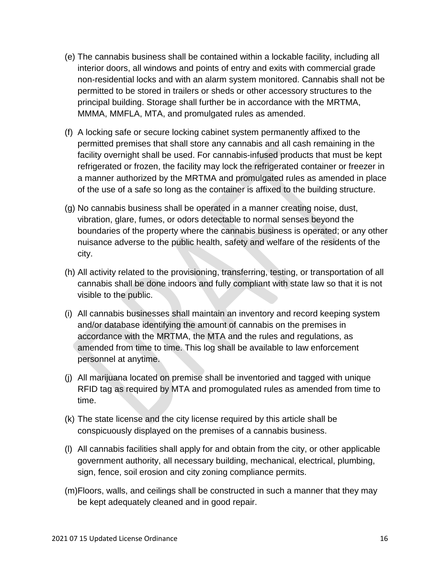- (e) The cannabis business shall be contained within a lockable facility, including all interior doors, all windows and points of entry and exits with commercial grade non-residential locks and with an alarm system monitored. Cannabis shall not be permitted to be stored in trailers or sheds or other accessory structures to the principal building. Storage shall further be in accordance with the MRTMA, MMMA, MMFLA, MTA, and promulgated rules as amended.
- (f) A locking safe or secure locking cabinet system permanently affixed to the permitted premises that shall store any cannabis and all cash remaining in the facility overnight shall be used. For cannabis-infused products that must be kept refrigerated or frozen, the facility may lock the refrigerated container or freezer in a manner authorized by the MRTMA and promulgated rules as amended in place of the use of a safe so long as the container is affixed to the building structure.
- (g) No cannabis business shall be operated in a manner creating noise, dust, vibration, glare, fumes, or odors detectable to normal senses beyond the boundaries of the property where the cannabis business is operated; or any other nuisance adverse to the public health, safety and welfare of the residents of the city.
- (h) All activity related to the provisioning, transferring, testing, or transportation of all cannabis shall be done indoors and fully compliant with state law so that it is not visible to the public.
- (i) All cannabis businesses shall maintain an inventory and record keeping system and/or database identifying the amount of cannabis on the premises in accordance with the MRTMA, the MTA and the rules and regulations, as amended from time to time. This log shall be available to law enforcement personnel at anytime.
- (j) All marijuana located on premise shall be inventoried and tagged with unique RFID tag as required by MTA and promogulated rules as amended from time to time.
- (k) The state license and the city license required by this article shall be conspicuously displayed on the premises of a cannabis business.
- (l) All cannabis facilities shall apply for and obtain from the city, or other applicable government authority, all necessary building, mechanical, electrical, plumbing, sign, fence, soil erosion and city zoning compliance permits.
- (m)Floors, walls, and ceilings shall be constructed in such a manner that they may be kept adequately cleaned and in good repair.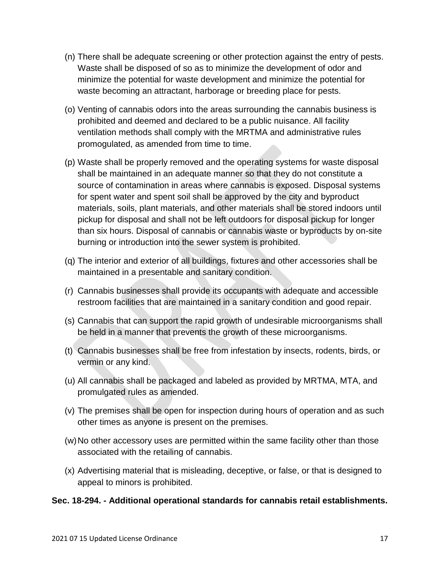- (n) There shall be adequate screening or other protection against the entry of pests. Waste shall be disposed of so as to minimize the development of odor and minimize the potential for waste development and minimize the potential for waste becoming an attractant, harborage or breeding place for pests.
- (o) Venting of cannabis odors into the areas surrounding the cannabis business is prohibited and deemed and declared to be a public nuisance. All facility ventilation methods shall comply with the MRTMA and administrative rules promogulated, as amended from time to time.
- (p) Waste shall be properly removed and the operating systems for waste disposal shall be maintained in an adequate manner so that they do not constitute a source of contamination in areas where cannabis is exposed. Disposal systems for spent water and spent soil shall be approved by the city and byproduct materials, soils, plant materials, and other materials shall be stored indoors until pickup for disposal and shall not be left outdoors for disposal pickup for longer than six hours. Disposal of cannabis or cannabis waste or byproducts by on-site burning or introduction into the sewer system is prohibited.
- (q) The interior and exterior of all buildings, fixtures and other accessories shall be maintained in a presentable and sanitary condition.
- (r) Cannabis businesses shall provide its occupants with adequate and accessible restroom facilities that are maintained in a sanitary condition and good repair.
- (s) Cannabis that can support the rapid growth of undesirable microorganisms shall be held in a manner that prevents the growth of these microorganisms.
- (t) Cannabis businesses shall be free from infestation by insects, rodents, birds, or vermin or any kind.
- (u) All cannabis shall be packaged and labeled as provided by MRTMA, MTA, and promulgated rules as amended.
- (v) The premises shall be open for inspection during hours of operation and as such other times as anyone is present on the premises.
- (w)No other accessory uses are permitted within the same facility other than those associated with the retailing of cannabis.
- (x) Advertising material that is misleading, deceptive, or false, or that is designed to appeal to minors is prohibited.

# **Sec. 18-294. - Additional operational standards for cannabis retail establishments.**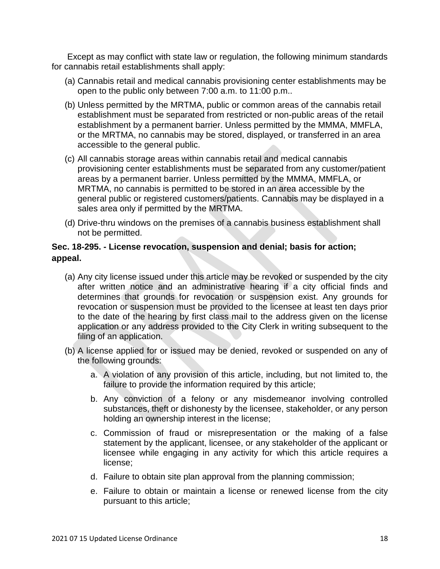Except as may conflict with state law or regulation, the following minimum standards for cannabis retail establishments shall apply:

- (a) Cannabis retail and medical cannabis provisioning center establishments may be open to the public only between 7:00 a.m. to 11:00 p.m..
- (b) Unless permitted by the MRTMA, public or common areas of the cannabis retail establishment must be separated from restricted or non-public areas of the retail establishment by a permanent barrier. Unless permitted by the MMMA, MMFLA, or the MRTMA, no cannabis may be stored, displayed, or transferred in an area accessible to the general public.
- (c) All cannabis storage areas within cannabis retail and medical cannabis provisioning center establishments must be separated from any customer/patient areas by a permanent barrier. Unless permitted by the MMMA, MMFLA, or MRTMA, no cannabis is permitted to be stored in an area accessible by the general public or registered customers/patients. Cannabis may be displayed in a sales area only if permitted by the MRTMA.
- (d) Drive-thru windows on the premises of a cannabis business establishment shall not be permitted.

# **Sec. 18-295. - License revocation, suspension and denial; basis for action; appeal.**

- (a) Any city license issued under this article may be revoked or suspended by the city after written notice and an administrative hearing if a city official finds and determines that grounds for revocation or suspension exist. Any grounds for revocation or suspension must be provided to the licensee at least ten days prior to the date of the hearing by first class mail to the address given on the license application or any address provided to the City Clerk in writing subsequent to the filing of an application.
- (b) A license applied for or issued may be denied, revoked or suspended on any of the following grounds:
	- a. A violation of any provision of this article, including, but not limited to, the failure to provide the information required by this article;
	- b. Any conviction of a felony or any misdemeanor involving controlled substances, theft or dishonesty by the licensee, stakeholder, or any person holding an ownership interest in the license;
	- c. Commission of fraud or misrepresentation or the making of a false statement by the applicant, licensee, or any stakeholder of the applicant or licensee while engaging in any activity for which this article requires a license;
	- d. Failure to obtain site plan approval from the planning commission;
	- e. Failure to obtain or maintain a license or renewed license from the city pursuant to this article;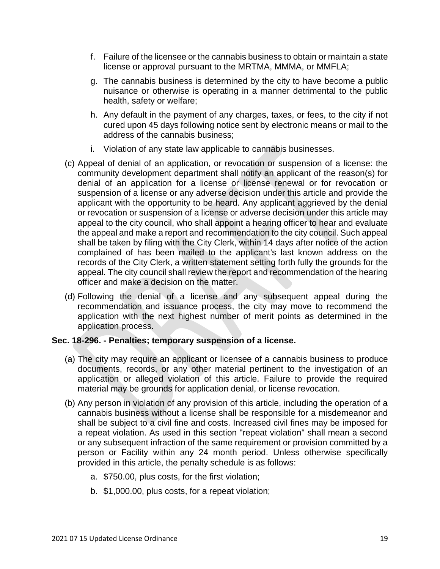- f. Failure of the licensee or the cannabis business to obtain or maintain a state license or approval pursuant to the MRTMA, MMMA, or MMFLA;
- g. The cannabis business is determined by the city to have become a public nuisance or otherwise is operating in a manner detrimental to the public health, safety or welfare;
- h. Any default in the payment of any charges, taxes, or fees, to the city if not cured upon 45 days following notice sent by electronic means or mail to the address of the cannabis business;
- i. Violation of any state law applicable to cannabis businesses.
- (c) Appeal of denial of an application, or revocation or suspension of a license: the community development department shall notify an applicant of the reason(s) for denial of an application for a license or license renewal or for revocation or suspension of a license or any adverse decision under this article and provide the applicant with the opportunity to be heard. Any applicant aggrieved by the denial or revocation or suspension of a license or adverse decision under this article may appeal to the city council, who shall appoint a hearing officer to hear and evaluate the appeal and make a report and recommendation to the city council. Such appeal shall be taken by filing with the City Clerk, within 14 days after notice of the action complained of has been mailed to the applicant's last known address on the records of the City Clerk, a written statement setting forth fully the grounds for the appeal. The city council shall review the report and recommendation of the hearing officer and make a decision on the matter.
- (d) Following the denial of a license and any subsequent appeal during the recommendation and issuance process, the city may move to recommend the application with the next highest number of merit points as determined in the application process.

## **Sec. 18-296. - Penalties; temporary suspension of a license.**

- (a) The city may require an applicant or licensee of a cannabis business to produce documents, records, or any other material pertinent to the investigation of an application or alleged violation of this article. Failure to provide the required material may be grounds for application denial, or license revocation.
- (b) Any person in violation of any provision of this article, including the operation of a cannabis business without a license shall be responsible for a misdemeanor and shall be subject to a civil fine and costs. Increased civil fines may be imposed for a repeat violation. As used in this section "repeat violation" shall mean a second or any subsequent infraction of the same requirement or provision committed by a person or Facility within any 24 month period. Unless otherwise specifically provided in this article, the penalty schedule is as follows:
	- a. \$750.00, plus costs, for the first violation;
	- b. \$1,000.00, plus costs, for a repeat violation;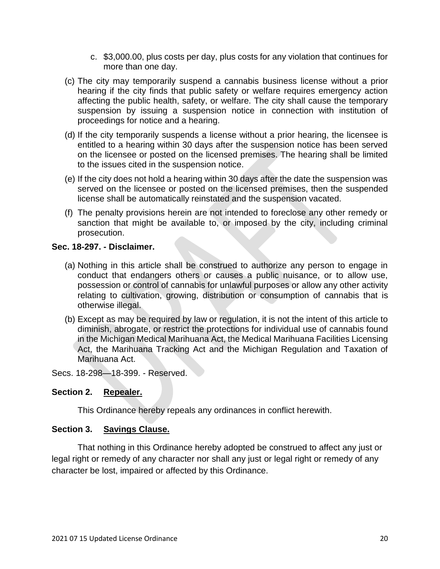- c. \$3,000.00, plus costs per day, plus costs for any violation that continues for more than one day.
- (c) The city may temporarily suspend a cannabis business license without a prior hearing if the city finds that public safety or welfare requires emergency action affecting the public health, safety, or welfare. The city shall cause the temporary suspension by issuing a suspension notice in connection with institution of proceedings for notice and a hearing.
- (d) If the city temporarily suspends a license without a prior hearing, the licensee is entitled to a hearing within 30 days after the suspension notice has been served on the licensee or posted on the licensed premises. The hearing shall be limited to the issues cited in the suspension notice.
- (e) If the city does not hold a hearing within 30 days after the date the suspension was served on the licensee or posted on the licensed premises, then the suspended license shall be automatically reinstated and the suspension vacated.
- (f) The penalty provisions herein are not intended to foreclose any other remedy or sanction that might be available to, or imposed by the city, including criminal prosecution.

## **Sec. 18-297. - Disclaimer.**

- (a) Nothing in this article shall be construed to authorize any person to engage in conduct that endangers others or causes a public nuisance, or to allow use, possession or control of cannabis for unlawful purposes or allow any other activity relating to cultivation, growing, distribution or consumption of cannabis that is otherwise illegal.
- (b) Except as may be required by law or regulation, it is not the intent of this article to diminish, abrogate, or restrict the protections for individual use of cannabis found in the Michigan Medical Marihuana Act, the Medical Marihuana Facilities Licensing Act, the Marihuana Tracking Act and the Michigan Regulation and Taxation of Marihuana Act.

Secs. 18-298—18-399. - Reserved.

# **Section 2. Repealer.**

This Ordinance hereby repeals any ordinances in conflict herewith.

# **Section 3. Savings Clause.**

That nothing in this Ordinance hereby adopted be construed to affect any just or legal right or remedy of any character nor shall any just or legal right or remedy of any character be lost, impaired or affected by this Ordinance.